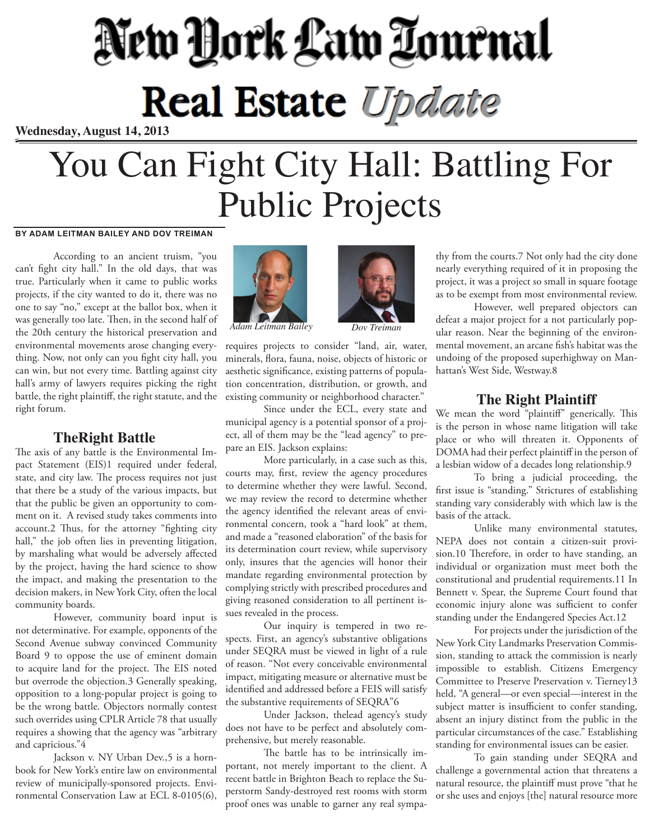# New York Law Tournal **Real Estate Update**

**Wednesday, August 14, 2013**

# You Can Fight City Hall: Battling For Public Projects

#### **BY ADAM LEITMAN BAILEY AND DOV TREIMAN**

According to an ancient truism, "you can't fight city hall." In the old days, that was true. Particularly when it came to public works projects, if the city wanted to do it, there was no one to say "no," except at the ballot box, when it was generally too late. Then, in the second half of the 20th century the historical preservation and environmental movements arose changing everything. Now, not only can you fight city hall, you can win, but not every time. Battling against city hall's army of lawyers requires picking the right battle, the right plaintiff, the right statute, and the right forum.

#### **TheRight Battle**

The axis of any battle is the Environmental Impact Statement (EIS)1 required under federal, state, and city law. The process requires not just that there be a study of the various impacts, but that the public be given an opportunity to comment on it. A revised study takes comments into account.2 Thus, for the attorney "fighting city hall," the job often lies in preventing litigation, by marshaling what would be adversely affected by the project, having the hard science to show the impact, and making the presentation to the decision makers, in New York City, often the local community boards.

However, community board input is not determinative. For example, opponents of the Second Avenue subway convinced Community Board 9 to oppose the use of eminent domain to acquire land for the project. The EIS noted but overrode the objection.3 Generally speaking, opposition to a long-popular project is going to be the wrong battle. Objectors normally contest such overrides using CPLR Article 78 that usually requires a showing that the agency was "arbitrary and capricious."4

Jackson v. NY Urban Dev.,5 is a hornbook for New York's entire law on environmental review of municipally-sponsored projects. Environmental Conservation Law at ECL 8-0105(6),



*Adam Leitman Bailey Dov Treiman*

requires projects to consider "land, air, water, minerals, flora, fauna, noise, objects of historic or aesthetic significance, existing patterns of population concentration, distribution, or growth, and existing community or neighborhood character."

Since under the ECL, every state and municipal agency is a potential sponsor of a project, all of them may be the "lead agency" to prepare an EIS. Jackson explains:

More particularly, in a case such as this, courts may, first, review the agency procedures to determine whether they were lawful. Second, we may review the record to determine whether the agency identified the relevant areas of environmental concern, took a "hard look" at them, and made a "reasoned elaboration" of the basis for its determination court review, while supervisory only, insures that the agencies will honor their mandate regarding environmental protection by complying strictly with prescribed procedures and giving reasoned consideration to all pertinent issues revealed in the process.

Our inquiry is tempered in two respects. First, an agency's substantive obligations under SEQRA must be viewed in light of a rule of reason. "Not every conceivable environmental impact, mitigating measure or alternative must be identified and addressed before a FEIS will satisfy the substantive requirements of SEQRA"6

Under Jackson, thelead agency's study does not have to be perfect and absolutely comprehensive, but merely reasonable.

The battle has to be intrinsically important, not merely important to the client. A recent battle in Brighton Beach to replace the Superstorm Sandy-destroyed rest rooms with storm proof ones was unable to garner any real sympa-



thy from the courts.7 Not only had the city done nearly everything required of it in proposing the project, it was a project so small in square footage as to be exempt from most environmental review.

However, well prepared objectors can defeat a major project for a not particularly popular reason. Near the beginning of the environmental movement, an arcane fish's habitat was the undoing of the proposed superhighway on Manhattan's West Side, Westway.8

#### **The Right Plaintiff**

We mean the word "plaintiff" generically. This is the person in whose name litigation will take place or who will threaten it. Opponents of DOMA had their perfect plaintiff in the person of a lesbian widow of a decades long relationship.9

To bring a judicial proceeding, the first issue is "standing." Strictures of establishing standing vary considerably with which law is the basis of the attack.

Unlike many environmental statutes, NEPA does not contain a citizen-suit provision.10 Therefore, in order to have standing, an individual or organization must meet both the constitutional and prudential requirements.11 In Bennett v. Spear, the Supreme Court found that economic injury alone was sufficient to confer standing under the Endangered Species Act.12

For projects under the jurisdiction of the New York City Landmarks Preservation Commission, standing to attack the commission is nearly impossible to establish. Citizens Emergency Committee to Preserve Preservation v. Tierney13 held, "A general—or even special—interest in the subject matter is insufficient to confer standing, absent an injury distinct from the public in the particular circumstances of the case." Establishing standing for environmental issues can be easier.

To gain standing under SEQRA and challenge a governmental action that threatens a natural resource, the plaintiff must prove "that he or she uses and enjoys [the] natural resource more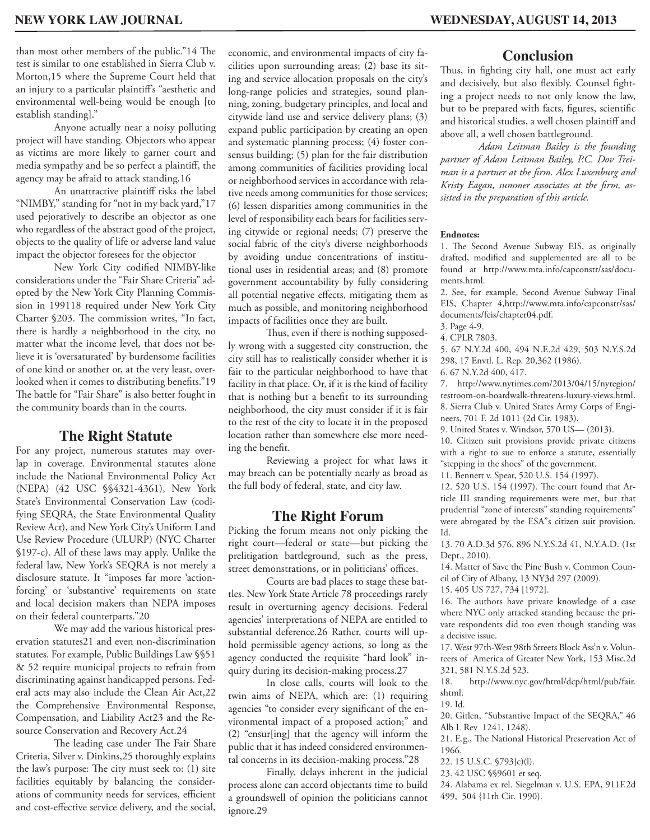**Conclusion**

Thus, in fighting city hall, one must act early and decisively, but also flexibly. Counsel fighting a project needs to not only know the law, but to be prepared with facts, figures, scientific and historical studies, a well chosen plaintiff and above all, a well chosen battleground.

*Adam Leitman Bailey is the founding partner of Adam Leitman Bailey, P.C. Dov Treiman is a partner at the firm. Alex Luxenburg and Kristy Eagan, summer associates at the firm, assisted in the preparation of this article.*

#### **Endnotes:**

1. The Second Avenue Subway EIS, as originally drafted, modified and supplemented are all to be found at http://www.mta.info/capconstr/sas/documents.html.

2. See, for example, Second Avenue Subway Final EIS, Chapter 4,http://www.mta.info/capconstr/sas/ documents/feis/chapter04.pdf.

3. Page 4-9.

4. CPLR 7803.

5. 67 N.Y.2d 400, 494 N.E.2d 429, 503 N.Y.S.2d 298, 17 Envtl. L. Rep. 20,362 (1986).

6. 67 N.Y.2d 400, 417.

7. http://www.nytimes.com/2013/04/15/nyregion/ restroom-on-boardwalk-threatens-luxury-views.html. 8. Sierra Club v. United States Army Corps of Engineers, 701 F. 2d 1011 (2d Cir. 1983).

9. United States v. Windsor, 570 US— (2013).

10. Citizen suit provisions provide private citizens with a right to sue to enforce a statute, essentially "stepping in the shoes" of the government.

11. Bennett v. Spear, 520 U.S. 154 (1997).

12. 520 U.S. 154 (1997). The court found that Article III standing requirements were met, but that prudential "zone of interests" standing requirements" were abrogated by the ESA"s citizen suit provision. Id.

13. 70 A.D.3d 576, 896 N.Y.S.2d 41, N.Y.A.D. (1st Dept., 2010).

14. Matter of Save the Pine Bush v. Common Council of City of Albany, 13 NY3d 297 (2009). 15. 405 US 727, 734 [1972].

16. The authors have private knowledge of a case where NYC only attacked standing because the private respondents did too even though standing was a decisive issue.

17. West 97th-West 98th Streets Block Ass'n v. Volunteers of America of Greater New York, 153 Misc.2d 321, 581 N.Y.S.2d 523.

18. http://www.nyc.gov/html/dcp/html/pub/fair. shtml.

19. Id.

20. Gitlen, "Substantive Impact of the SEQRA," 46 Alb L Rev 1241, 1248).

21. E.g., The National Historical Preservation Act of 1966.

22. 15 U.S.C. §793{c)(l).

23. 42 USC §§9601 et seq.

24. Alabama ex rel. Siegelman v. U.S. EPA, 911F.2d 499, 504 {11th Cir. 1990).

than most other members of the public."14 The test is similar to one established in Sierra Club v. Morton,15 where the Supreme Court held that an injury to a particular plaintiff's "aesthetic and environmental well-being would be enough [to establish standing]."

Anyone actually near a noisy polluting project will have standing. Objectors who appear as victims are more likely to garner court and media sympathy and be so perfect a plaintiff, the agency may be afraid to attack standing.16

An unattractive plaintiff risks the label "NIMBY," standing for "not in my back yard,"17 used pejoratively to describe an objector as one who regardless of the abstract good of the project, objects to the quality of life or adverse land value impact the objector foresees for the objector

New York City codified NIMBY-like considerations under the "Fair Share Criteria" adopted by the New York City Planning Commission in 199118 required under New York City Charter §203. The commission writes, "In fact, there is hardly a neighborhood in the city, no matter what the income level, that does not believe it is 'oversaturated' by burdensome facilities of one kind or another or, at the very least, overlooked when it comes to distributing benefits."19 The battle for "Fair Share" is also better fought in the community boards than in the courts.

## **The Right Statute**

For any project, numerous statutes may overlap in coverage. Environmental statutes alone include the National Environmental Policy Act (NEPA) (42 USC §§4321-4361), New York State's Environmental Conservation Law (codifying SEQRA, the State Environmental Quality Review Act), and New York City's Uniform Land Use Review Procedure (ULURP) (NYC Charter §197-c). All of these laws may apply. Unlike the federal law, New York's SEQRA is not merely a disclosure statute. It "imposes far more 'actionforcing' or 'substantive' requirements on state and local decision makers than NEPA imposes on their federal counterparts."20

We may add the various historical preservation statutes21 and even non-discrimination statutes. For example, Public Buildings Law §§51 & 52 require municipal projects to refrain from discriminating against handicapped persons. Federal acts may also include the Clean Air Act,22 the Comprehensive Environmental Response, Compensation, and Liability Act23 and the Resource Conservation and Recovery Act.24

The leading case under The Fair Share Criteria, Silver v. Dinkins,25 thoroughly explains the law's purpose: The city must seek to: (1) site facilities equitably by balancing the considerations of community needs for services, efficient and cost-effective service delivery, and the social,

economic, and environmental impacts of city facilities upon surrounding areas; (2) base its siting and service allocation proposals on the city's long-range policies and strategies, sound planning, zoning, budgetary principles, and local and citywide land use and service delivery plans; (3) expand public participation by creating an open and systematic planning process; (4) foster consensus building; (5) plan for the fair distribution among communities of facilities providing local or neighborhood services in accordance with relative needs among communities for those services; (6) lessen disparities among communities in the level of responsibility each bears for facilities serving citywide or regional needs; (7) preserve the social fabric of the city's diverse neighborhoods by avoiding undue concentrations of institutional uses in residential areas; and (8) promote government accountability by fully considering all potential negative effects, mitigating them as much as possible, and monitoring neighborhood impacts of facilities once they are built.

Thus, even if there is nothing supposedly wrong with a suggested city construction, the city still has to realistically consider whether it is fair to the particular neighborhood to have that facility in that place. Or, if it is the kind of facility that is nothing but a benefit to its surrounding neighborhood, the city must consider if it is fair to the rest of the city to locate it in the proposed location rather than somewhere else more needing the benefit.

Reviewing a project for what laws it may breach can be potentially nearly as broad as the full body of federal, state, and city law.

## **The Right Forum**

Picking the forum means not only picking the right court—federal or state—but picking the prelitigation battleground, such as the press, street demonstrations, or in politicians' offices.

Courts are bad places to stage these battles. New York State Article 78 proceedings rarely result in overturning agency decisions. Federal agencies' interpretations of NEPA are entitled to substantial deference.26 Rather, courts will uphold permissible agency actions, so long as the agency conducted the requisite "hard look" inquiry during its decision-making process.27

In close calls, courts will look to the twin aims of NEPA, which are: (1) requiring agencies "to consider every significant of the environmental impact of a proposed action;" and (2) "ensur[ing] that the agency will inform the public that it has indeed considered environmental concerns in its decision-making process."28

Finally, delays inherent in the judicial process alone can accord objectants time to build a groundswell of opinion the politicians cannot ignore.29